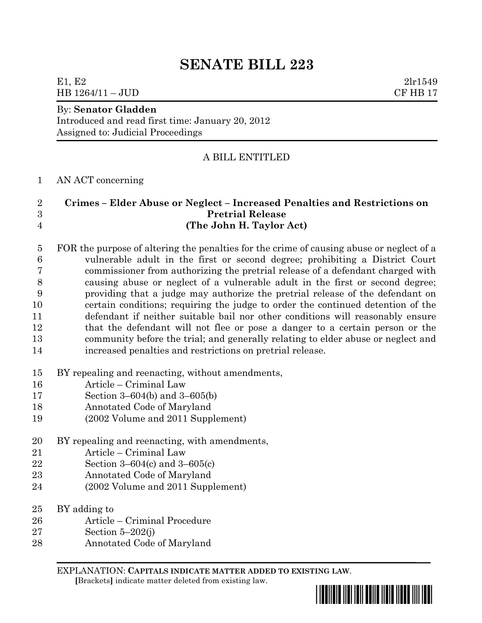# **SENATE BILL 223**

### E1, E2  $2\ln 1549$ HB 1264/11 – JUD CF HB 17

### By: **Senator Gladden**

Introduced and read first time: January 20, 2012 Assigned to: Judicial Proceedings

## A BILL ENTITLED

#### AN ACT concerning

## **Crimes – Elder Abuse or Neglect – Increased Penalties and Restrictions on Pretrial Release (The John H. Taylor Act)**

 FOR the purpose of altering the penalties for the crime of causing abuse or neglect of a vulnerable adult in the first or second degree; prohibiting a District Court commissioner from authorizing the pretrial release of a defendant charged with causing abuse or neglect of a vulnerable adult in the first or second degree; providing that a judge may authorize the pretrial release of the defendant on certain conditions; requiring the judge to order the continued detention of the defendant if neither suitable bail nor other conditions will reasonably ensure that the defendant will not flee or pose a danger to a certain person or the community before the trial; and generally relating to elder abuse or neglect and increased penalties and restrictions on pretrial release.

- BY repealing and reenacting, without amendments,
- Article Criminal Law
- Section 3–604(b) and 3–605(b)
- Annotated Code of Maryland
- (2002 Volume and 2011 Supplement)
- BY repealing and reenacting, with amendments,
- Article Criminal Law
- Section 3–604(c) and 3–605(c)
- Annotated Code of Maryland
- (2002 Volume and 2011 Supplement)
- BY adding to
- Article Criminal Procedure
- Section 5–202(j)
- Annotated Code of Maryland

EXPLANATION: **CAPITALS INDICATE MATTER ADDED TO EXISTING LAW**.  **[**Brackets**]** indicate matter deleted from existing law.

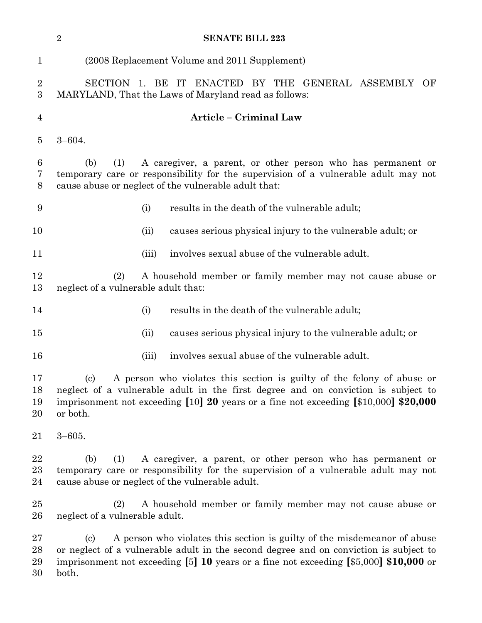|                       | $\sqrt{2}$<br><b>SENATE BILL 223</b>                                                                                                                                                                                                                                                                  |       |                                                            |
|-----------------------|-------------------------------------------------------------------------------------------------------------------------------------------------------------------------------------------------------------------------------------------------------------------------------------------------------|-------|------------------------------------------------------------|
| $\mathbf{1}$          | (2008 Replacement Volume and 2011 Supplement)                                                                                                                                                                                                                                                         |       |                                                            |
| $\boldsymbol{2}$<br>3 | SECTION 1. BE IT ENACTED BY THE GENERAL ASSEMBLY<br>OF<br>MARYLAND, That the Laws of Maryland read as follows:                                                                                                                                                                                        |       |                                                            |
| $\overline{4}$        | <b>Article - Criminal Law</b>                                                                                                                                                                                                                                                                         |       |                                                            |
| $\overline{5}$        | $3 - 604.$                                                                                                                                                                                                                                                                                            |       |                                                            |
| $\,6\,$<br>7<br>$8\,$ | A caregiver, a parent, or other person who has permanent or<br>(1)<br>(b)<br>temporary care or responsibility for the supervision of a vulnerable adult may not<br>cause abuse or neglect of the vulnerable adult that:                                                                               |       |                                                            |
| 9                     |                                                                                                                                                                                                                                                                                                       | (i)   | results in the death of the vulnerable adult;              |
| 10                    |                                                                                                                                                                                                                                                                                                       | (ii)  | causes serious physical injury to the vulnerable adult; or |
| 11                    |                                                                                                                                                                                                                                                                                                       | (iii) | involves sexual abuse of the vulnerable adult.             |
| 12<br>13              | A household member or family member may not cause abuse or<br>(2)<br>neglect of a vulnerable adult that:                                                                                                                                                                                              |       |                                                            |
| 14                    |                                                                                                                                                                                                                                                                                                       | (i)   | results in the death of the vulnerable adult;              |
| 15                    |                                                                                                                                                                                                                                                                                                       | (ii)  | causes serious physical injury to the vulnerable adult; or |
| 16                    |                                                                                                                                                                                                                                                                                                       | (iii) | involves sexual abuse of the vulnerable adult.             |
| 17<br>18<br>19<br>20  | A person who violates this section is guilty of the felony of abuse or<br>$\left( \mathrm{c}\right)$<br>neglect of a vulnerable adult in the first degree and on conviction is subject to<br>imprisonment not exceeding $[10]$ 20 years or a fine not exceeding $[10,000]$ \$20,000<br>or both.       |       |                                                            |
| 21                    | $3 - 605.$                                                                                                                                                                                                                                                                                            |       |                                                            |
| 22<br>23<br>24        | A caregiver, a parent, or other person who has permanent or<br>(1)<br>(b)<br>temporary care or responsibility for the supervision of a vulnerable adult may not<br>cause abuse or neglect of the vulnerable adult.                                                                                    |       |                                                            |
| 25<br>26              | A household member or family member may not cause abuse or<br>(2)<br>neglect of a vulnerable adult.                                                                                                                                                                                                   |       |                                                            |
| 27<br>28<br>29<br>30  | A person who violates this section is guilty of the misdemean or of abuse<br>$\left( \mathrm{c}\right)$<br>or neglect of a vulnerable adult in the second degree and on conviction is subject to<br>imprisonment not exceeding $[5]$ 10 years or a fine not exceeding $[$5,000]$ \$10,000 or<br>both. |       |                                                            |